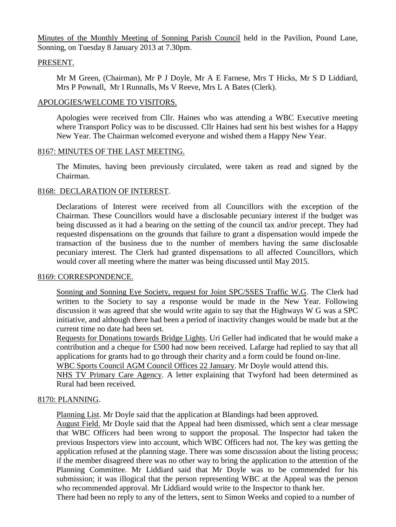Minutes of the Monthly Meeting of Sonning Parish Council held in the Pavilion, Pound Lane, Sonning, on Tuesday 8 January 2013 at 7.30pm.

### PRESENT.

Mr M Green, (Chairman), Mr P J Doyle, Mr A E Farnese, Mrs T Hicks, Mr S D Liddiard, Mrs P Pownall, Mr I Runnalls, Ms V Reeve, Mrs L A Bates (Clerk).

### APOLOGIES/WELCOME TO VISITORS.

Apologies were received from Cllr. Haines who was attending a WBC Executive meeting where Transport Policy was to be discussed. Cllr Haines had sent his best wishes for a Happy New Year. The Chairman welcomed everyone and wished them a Happy New Year.

### 8167: MINUTES OF THE LAST MEETING.

The Minutes, having been previously circulated, were taken as read and signed by the Chairman.

## 8168: DECLARATION OF INTEREST.

Declarations of Interest were received from all Councillors with the exception of the Chairman. These Councillors would have a disclosable pecuniary interest if the budget was being discussed as it had a bearing on the setting of the council tax and/or precept. They had requested dispensations on the grounds that failure to grant a dispensation would impede the transaction of the business due to the number of members having the same disclosable pecuniary interest. The Clerk had granted dispensations to all affected Councillors, which would cover all meeting where the matter was being discussed until May 2015.

#### 8169: CORRESPONDENCE.

Sonning and Sonning Eye Society, request for Joint SPC/SSES Traffic W.G. The Clerk had written to the Society to say a response would be made in the New Year. Following discussion it was agreed that she would write again to say that the Highways W G was a SPC initiative, and although there had been a period of inactivity changes would be made but at the current time no date had been set.

Requests for Donations towards Bridge Lights. Uri Geller had indicated that he would make a contribution and a cheque for £500 had now been received. Lafarge had replied to say that all applications for grants had to go through their charity and a form could be found on-line.

WBC Sports Council AGM Council Offices 22 January. Mr Doyle would attend this.

NHS TV Primary Care Agency. A letter explaining that Twyford had been determined as Rural had been received.

## 8170: PLANNING.

Planning List. Mr Doyle said that the application at Blandings had been approved.

August Field. Mr Doyle said that the Appeal had been dismissed, which sent a clear message that WBC Officers had been wrong to support the proposal. The Inspector had taken the previous Inspectors view into account, which WBC Officers had not. The key was getting the application refused at the planning stage. There was some discussion about the listing process; if the member disagreed there was no other way to bring the application to the attention of the Planning Committee. Mr Liddiard said that Mr Doyle was to be commended for his submission; it was illogical that the person representing WBC at the Appeal was the person who recommended approval. Mr Liddiard would write to the Inspector to thank her.

There had been no reply to any of the letters, sent to Simon Weeks and copied to a number of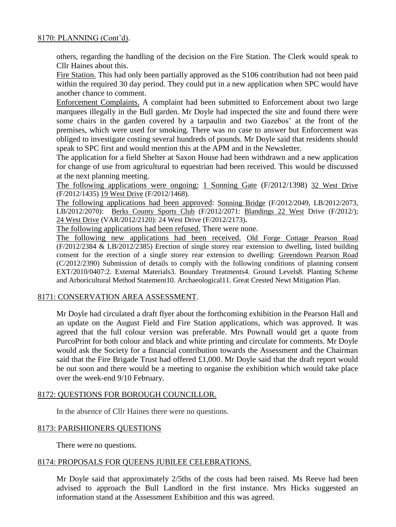# 8170: PLANNING (Cont'd).

others, regarding the handling of the decision on the Fire Station. The Clerk would speak to Cllr Haines about this.

Fire Station. This had only been partially approved as the S106 contribution had not been paid within the required 30 day period. They could put in a new application when SPC would have another chance to comment.

Enforcement Complaints. A complaint had been submitted to Enforcement about two large marquees illegally in the Bull garden. Mr Doyle had inspected the site and found there were some chairs in the garden covered by a tarpaulin and two Gazebos' at the front of the premises, which were used for smoking. There was no case to answer but Enforcement was obliged to investigate costing several hundreds of pounds. Mr Doyle said that residents should speak to SPC first and would mention this at the APM and in the Newsletter.

The application for a field Shelter at Saxon House had been withdrawn and a new application for change of use from agricultural to equestrian had been received. This would be discussed at the next planning meeting.

The following applications were ongoing: 1 Sonning Gate (F/2012/1398) 32 West Drive (F/2012/1435) 19 West Drive (F/2012/1468).

The following applications had been approved: Sonning Bridge (F/2012/2049, LB/2012/2073, LB/2012/2070): Berks County Sports Club (F/2012/2071: Blandings 22 West Drive (F/2012/); 24 West Drive (VAR/2012/2120): 24 West Drive (F/2012/2173)**.**

The following applications had been refused. There were none.

The following new applications had been received. Old Forge Cottage Pearson Road (F/2012/2384 & LB/2012/2385) Erection of single storey rear extension to dwelling, listed building consent for the erection of a single storey rear extension to dwelling: Greendown Pearson Road (C/2012/2390) Submission of details to comply with the following conditions of planning consent EXT/2010/0407:2. External Materials3. Boundary Treatments4. Ground Levels8. Planting Scheme and Arboricultural Method Statement10. Archaeological11. Great Crested Newt Mitigation Plan.

## 8171: CONSERVATION AREA ASSESSMENT.

Mr Doyle had circulated a draft flyer about the forthcoming exhibition in the Pearson Hall and an update on the August Field and Fire Station applications, which was approved. It was agreed that the full colour version was preferable. Mrs Pownall would get a quote from PurcoPrint for both colour and black and white printing and circulate for comments. Mr Doyle would ask the Society for a financial contribution towards the Assessment and the Chairman said that the Fire Brigade Trust had offered £1,000. Mr Doyle said that the draft report would be out soon and there would be a meeting to organise the exhibition which would take place over the week-end 9/10 February.

## 8172: QUESTIONS FOR BOROUGH COUNCILLOR.

In the absence of Cllr Haines there were no questions.

## 8173: PARISHIONERS QUESTIONS

There were no questions.

#### 8174: PROPOSALS FOR QUEENS JUBILEE CELEBRATIONS.

Mr Doyle said that approximately 2/5ths of the costs had been raised. Ms Reeve had been advised to approach the Bull Landlord in the first instance. Mrs Hicks suggested an information stand at the Assessment Exhibition and this was agreed.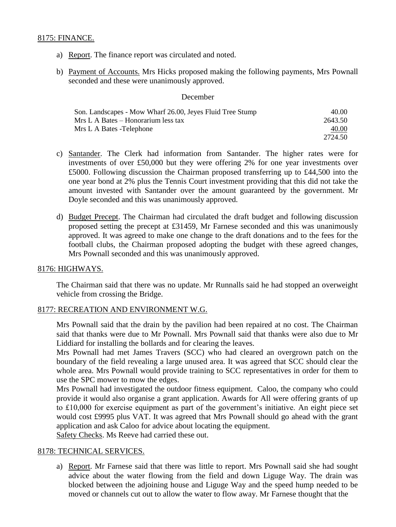## 8175: FINANCE.

- a) Report. The finance report was circulated and noted.
- b) Payment of Accounts. Mrs Hicks proposed making the following payments, Mrs Pownall seconded and these were unanimously approved.

December

| Son. Landscapes - Mow Wharf 26.00, Jeyes Fluid Tree Stump | 40.00   |
|-----------------------------------------------------------|---------|
| Mrs L A Bates – Honorarium less tax                       | 2643.50 |
| Mrs L A Bates - Telephone                                 | 40.00   |
|                                                           | 2724.50 |

- c) Santander. The Clerk had information from Santander. The higher rates were for investments of over £50,000 but they were offering 2% for one year investments over £5000. Following discussion the Chairman proposed transferring up to £44,500 into the one year bond at 2% plus the Tennis Court investment providing that this did not take the amount invested with Santander over the amount guaranteed by the government. Mr Doyle seconded and this was unanimously approved.
- d) Budget Precept. The Chairman had circulated the draft budget and following discussion proposed setting the precept at £31459, Mr Farnese seconded and this was unanimously approved. It was agreed to make one change to the draft donations and to the fees for the football clubs, the Chairman proposed adopting the budget with these agreed changes, Mrs Pownall seconded and this was unanimously approved.

#### 8176: HIGHWAYS.

The Chairman said that there was no update. Mr Runnalls said he had stopped an overweight vehicle from crossing the Bridge.

## 8177: RECREATION AND ENVIRONMENT W.G.

Mrs Pownall said that the drain by the pavilion had been repaired at no cost. The Chairman said that thanks were due to Mr Pownall. Mrs Pownall said that thanks were also due to Mr Liddiard for installing the bollards and for clearing the leaves.

Mrs Pownall had met James Travers (SCC) who had cleared an overgrown patch on the boundary of the field revealing a large unused area. It was agreed that SCC should clear the whole area. Mrs Pownall would provide training to SCC representatives in order for them to use the SPC mower to mow the edges.

Mrs Pownall had investigated the outdoor fitness equipment. Caloo, the company who could provide it would also organise a grant application. Awards for All were offering grants of up to £10,000 for exercise equipment as part of the government's initiative. An eight piece set would cost £9995 plus VAT. It was agreed that Mrs Pownall should go ahead with the grant application and ask Caloo for advice about locating the equipment.

Safety Checks. Ms Reeve had carried these out.

#### 8178: TECHNICAL SERVICES.

a) Report. Mr Farnese said that there was little to report. Mrs Pownall said she had sought advice about the water flowing from the field and down Liguge Way. The drain was blocked between the adjoining house and Liguge Way and the speed hump needed to be moved or channels cut out to allow the water to flow away. Mr Farnese thought that the